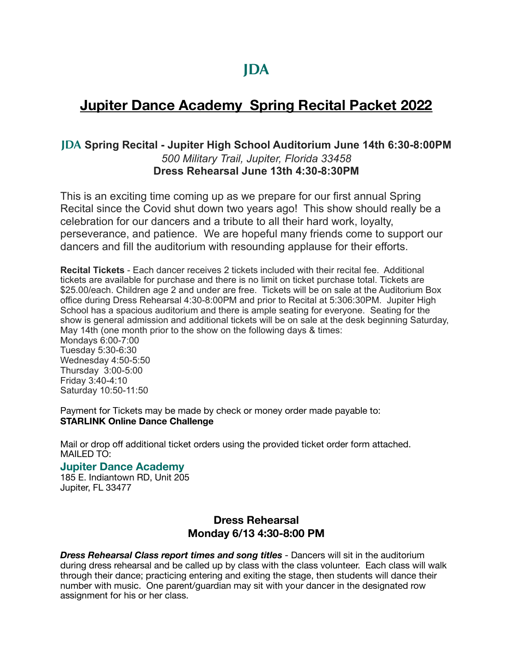# **Jupiter Dance Academy Spring Recital Packet 2022**

# **JDA Spring Recital - Jupiter High School Auditorium June 14th 6:30-8:00PM** *500 Military Trail, Jupiter, Florida 33458* **Dress Rehearsal June 13th 4:30-8:30PM**

This is an exciting time coming up as we prepare for our first annual Spring Recital since the Covid shut down two years ago! This show should really be a celebration for our dancers and a tribute to all their hard work, loyalty, perseverance, and patience. We are hopeful many friends come to support our dancers and fill the auditorium with resounding applause for their efforts.

**Recital Tickets** - Each dancer receives 2 tickets included with their recital fee. Additional tickets are available for purchase and there is no limit on ticket purchase total. Tickets are \$25.00/each. Children age 2 and under are free. Tickets will be on sale at the Auditorium Box office during Dress Rehearsal 4:30-8:00PM and prior to Recital at 5:306:30PM. Jupiter High School has a spacious auditorium and there is ample seating for everyone. Seating for the show is general admission and additional tickets will be on sale at the desk beginning Saturday, May 14th (one month prior to the show on the following days & times: Mondays 6:00-7:00 Tuesday 5:30-6:30

Wednesday 4:50-5:50 Thursday 3:00-5:00 Friday 3:40-4:10 Saturday 10:50-11:50

Payment for Tickets may be made by check or money order made payable to: **STARLINK Online Dance Challenge** 

Mail or drop off additional ticket orders using the provided ticket order form attached. MAILED TO:

## **Jupiter Dance Academy**

185 E. Indiantown RD, Unit 205 Jupiter, FL 33477

# **Dress Rehearsal Monday 6/13 4:30-8:00 PM**

*Dress Rehearsal Class report times and song titles* - Dancers will sit in the auditorium during dress rehearsal and be called up by class with the class volunteer. Each class will walk through their dance; practicing entering and exiting the stage, then students will dance their number with music. One parent/guardian may sit with your dancer in the designated row assignment for his or her class.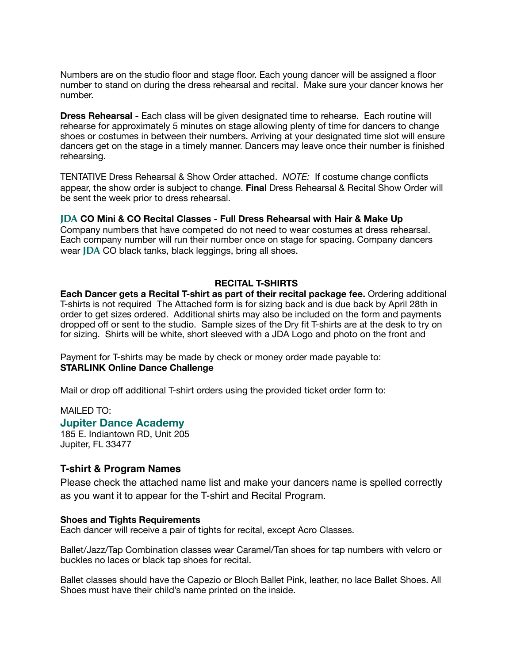Numbers are on the studio floor and stage floor. Each young dancer will be assigned a floor number to stand on during the dress rehearsal and recital. Make sure your dancer knows her number.

**Dress Rehearsal -** Each class will be given designated time to rehearse. Each routine will rehearse for approximately 5 minutes on stage allowing plenty of time for dancers to change shoes or costumes in between their numbers. Arriving at your designated time slot will ensure dancers get on the stage in a timely manner. Dancers may leave once their number is finished rehearsing.

TENTATIVE Dress Rehearsal & Show Order attached. *NOTE:* If costume change conflicts appear, the show order is subject to change. **Final** Dress Rehearsal & Recital Show Order will be sent the week prior to dress rehearsal.

**JDA CO Mini & CO Recital Classes - Full Dress Rehearsal with Hair & Make Up** Company numbers that have competed do not need to wear costumes at dress rehearsal. Each company number will run their number once on stage for spacing. Company dancers wear **JDA** CO black tanks, black leggings, bring all shoes.

## **RECITAL T-SHIRTS**

**Each Dancer gets a Recital T-shirt as part of their recital package fee.** Ordering additional T-shirts is not required The Attached form is for sizing back and is due back by April 28th in order to get sizes ordered. Additional shirts may also be included on the form and payments dropped off or sent to the studio. Sample sizes of the Dry fit T-shirts are at the desk to try on for sizing. Shirts will be white, short sleeved with a JDA Logo and photo on the front and

Payment for T-shirts may be made by check or money order made payable to: **STARLINK Online Dance Challenge** 

Mail or drop off additional T-shirt orders using the provided ticket order form to:

MAILED TO:

## **Jupiter Dance Academy**

185 E. Indiantown RD, Unit 205 Jupiter, FL 33477

## **T-shirt & Program Names**

Please check the attached name list and make your dancers name is spelled correctly as you want it to appear for the T-shirt and Recital Program.

#### **Shoes and Tights Requirements**

Each dancer will receive a pair of tights for recital, except Acro Classes.

Ballet/Jazz/Tap Combination classes wear Caramel/Tan shoes for tap numbers with velcro or buckles no laces or black tap shoes for recital.

Ballet classes should have the Capezio or Bloch Ballet Pink, leather, no lace Ballet Shoes. All Shoes must have their child's name printed on the inside.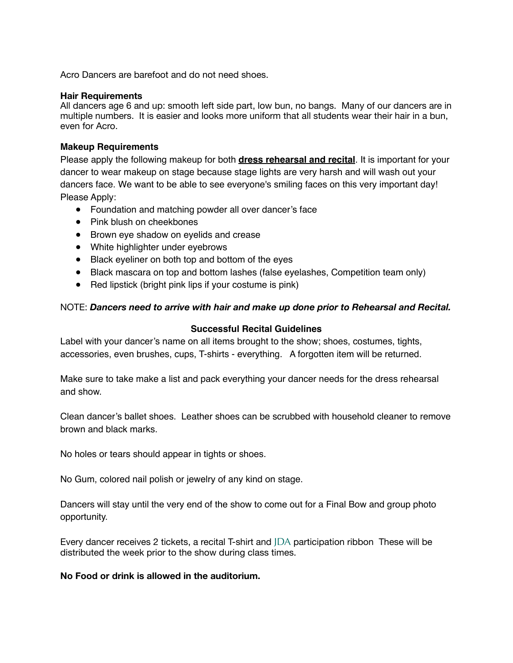Acro Dancers are barefoot and do not need shoes.

## **Hair Requirements**

All dancers age 6 and up: smooth left side part, low bun, no bangs. Many of our dancers are in multiple numbers. It is easier and looks more uniform that all students wear their hair in a bun, even for Acro.

## **Makeup Requirements**

Please apply the following makeup for both **dress rehearsal and recital**. It is important for your dancer to wear makeup on stage because stage lights are very harsh and will wash out your dancers face. We want to be able to see everyone's smiling faces on this very important day! Please Apply:

- Foundation and matching powder all over dancer's face
- Pink blush on cheekbones
- Brown eye shadow on eyelids and crease
- White highlighter under eyebrows
- Black eyeliner on both top and bottom of the eyes
- Black mascara on top and bottom lashes (false eyelashes, Competition team only)
- Red lipstick (bright pink lips if your costume is pink)

## NOTE: *Dancers need to arrive with hair and make up done prior to Rehearsal and Recital.*

## **Successful Recital Guidelines**

Label with your dancer's name on all items brought to the show; shoes, costumes, tights, accessories, even brushes, cups, T-shirts - everything. A forgotten item will be returned.

Make sure to take make a list and pack everything your dancer needs for the dress rehearsal and show.

Clean dancer's ballet shoes. Leather shoes can be scrubbed with household cleaner to remove brown and black marks.

No holes or tears should appear in tights or shoes.

No Gum, colored nail polish or jewelry of any kind on stage.

Dancers will stay until the very end of the show to come out for a Final Bow and group photo opportunity.

Every dancer receives 2 tickets, a recital T-shirt and JDA participation ribbon These will be distributed the week prior to the show during class times.

## **No Food or drink is allowed in the auditorium.**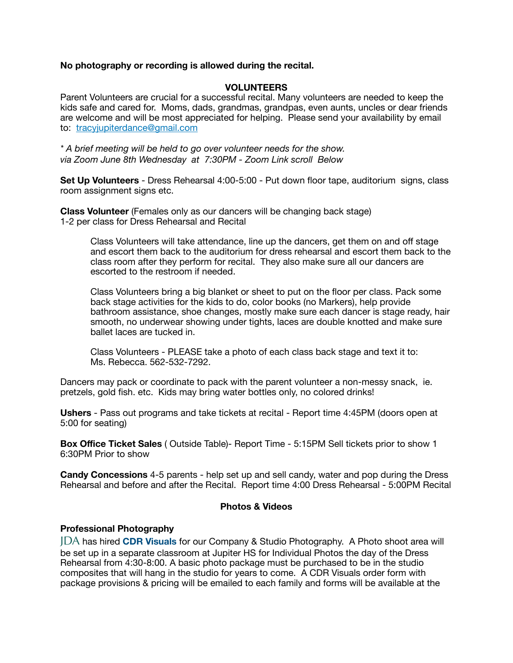## **No photography or recording is allowed during the recital.**

## **VOLUNTEERS**

Parent Volunteers are crucial for a successful recital. Many volunteers are needed to keep the kids safe and cared for. Moms, dads, grandmas, grandpas, even aunts, uncles or dear friends are welcome and will be most appreciated for helping. Please send your availability by email to: [tracyjupiterdance@gmail.com](mailto:tracyjupiterdance@gmail.com)

*\* A brief meeting will be held to go over volunteer needs for the show. via Zoom June 8th Wednesday at 7:30PM - Zoom Link scroll Below* 

**Set Up Volunteers** - Dress Rehearsal 4:00-5:00 - Put down floor tape, auditorium signs, class room assignment signs etc.

**Class Volunteer** (Females only as our dancers will be changing back stage) 1-2 per class for Dress Rehearsal and Recital

Class Volunteers will take attendance, line up the dancers, get them on and off stage and escort them back to the auditorium for dress rehearsal and escort them back to the class room after they perform for recital. They also make sure all our dancers are escorted to the restroom if needed.

Class Volunteers bring a big blanket or sheet to put on the floor per class. Pack some back stage activities for the kids to do, color books (no Markers), help provide bathroom assistance, shoe changes, mostly make sure each dancer is stage ready, hair smooth, no underwear showing under tights, laces are double knotted and make sure ballet laces are tucked in.

Class Volunteers - PLEASE take a photo of each class back stage and text it to: Ms. Rebecca. 562-532-7292.

Dancers may pack or coordinate to pack with the parent volunteer a non-messy snack, ie. pretzels, gold fish. etc. Kids may bring water bottles only, no colored drinks!

**Ushers** - Pass out programs and take tickets at recital - Report time 4:45PM (doors open at 5:00 for seating)

**Box Office Ticket Sales** ( Outside Table)- Report Time - 5:15PM Sell tickets prior to show 1 6:30PM Prior to show

**Candy Concessions** 4-5 parents - help set up and sell candy, water and pop during the Dress Rehearsal and before and after the Recital. Report time 4:00 Dress Rehearsal - 5:00PM Recital

## **Photos & Videos**

## **Professional Photography**

JDA has hired **CDR Visuals** for our Company & Studio Photography. A Photo shoot area will be set up in a separate classroom at Jupiter HS for Individual Photos the day of the Dress Rehearsal from 4:30-8:00. A basic photo package must be purchased to be in the studio composites that will hang in the studio for years to come. A CDR Visuals order form with package provisions & pricing will be emailed to each family and forms will be available at the